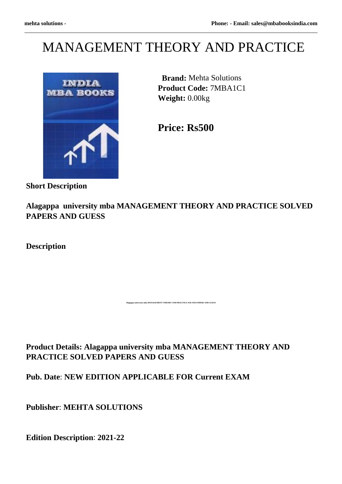# MANAGEMENT THEORY AND PRACTICE



 **Brand:** Mehta Solutions **Product Code:** 7MBA1C1 **Weight:** 0.00kg

**Price: Rs500** 

**Short Description**

**Alagappa university mba MANAGEMENT THEORY AND PRACTICE SOLVED PAPERS AND GUESS**

**A**<br>Alagapha MANAGEMENT THEORY AND PRACTICE SOLVED PAPERS AND GUESS

**Description**

**Product Details: Alagappa university mba MANAGEMENT THEORY AND PRACTICE SOLVED PAPERS AND GUESS**

**Pub. Date**: **NEW EDITION APPLICABLE FOR Current EXAM**

**Publisher**: **MEHTA SOLUTIONS**

**Edition Description**: **2021-22**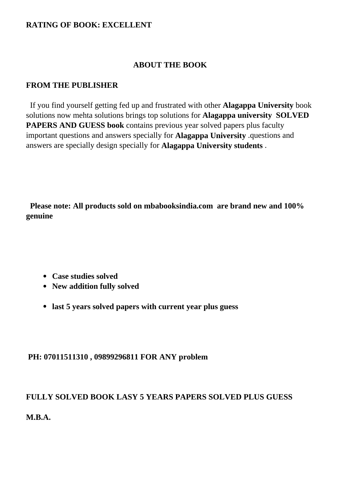## **RATING OF BOOK: EXCELLENT**

## **ABOUT THE BOOK**

## **FROM THE PUBLISHER**

 If you find yourself getting fed up and frustrated with other **Alagappa University** book solutions now mehta solutions brings top solutions for **Alagappa university SOLVED PAPERS AND GUESS book** contains previous year solved papers plus faculty important questions and answers specially for **Alagappa University** .questions and answers are specially design specially for **Alagappa University students** .

 **Please note: All products sold on mbabooksindia.com are brand new and 100% genuine**

- **Case studies solved**
- **New addition fully solved**
- **last 5 years solved papers with current year plus guess**

# **PH: 07011511310 , 09899296811 FOR ANY problem**

# **FULLY SOLVED BOOK LASY 5 YEARS PAPERS SOLVED PLUS GUESS**

**M.B.A.**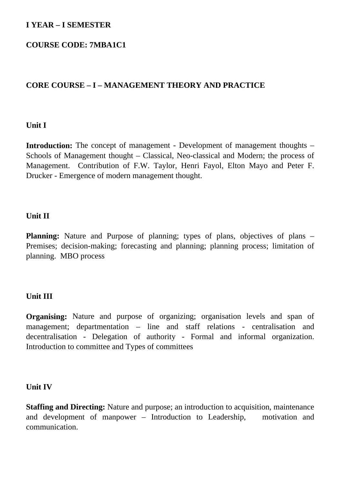# **I YEAR – I SEMESTER**

# **COURSE CODE: 7MBA1C1**

# **CORE COURSE – I – MANAGEMENT THEORY AND PRACTICE**

## **Unit I**

**Introduction:** The concept of management - Development of management thoughts – Schools of Management thought – Classical, Neo-classical and Modern; the process of Management. Contribution of F.W. Taylor, Henri Fayol, Elton Mayo and Peter F. Drucker - Emergence of modern management thought.

## **Unit II**

**Planning:** Nature and Purpose of planning; types of plans, objectives of plans – Premises; decision-making; forecasting and planning; planning process; limitation of planning. MBO process

# **Unit III**

**Organising:** Nature and purpose of organizing; organisation levels and span of management; departmentation – line and staff relations - centralisation and decentralisation - Delegation of authority - Formal and informal organization. Introduction to committee and Types of committees

#### **Unit IV**

**Staffing and Directing:** Nature and purpose; an introduction to acquisition, maintenance and development of manpower – Introduction to Leadership, motivation and communication.